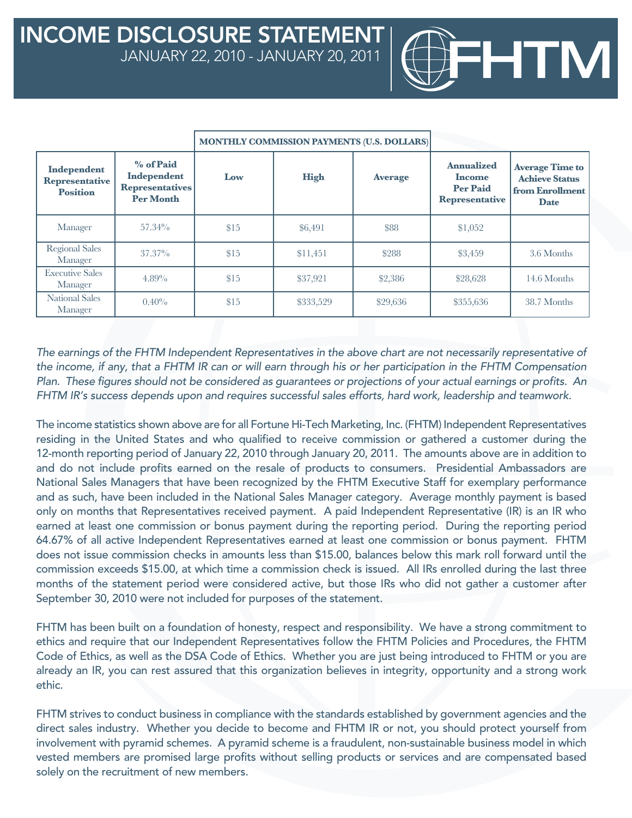|                                                         |                                                                        | <b>MONTHLY COMMISSION PAYMENTS (U.S. DOLLARS)</b> |             |                |                                                                                |                                                                                   |
|---------------------------------------------------------|------------------------------------------------------------------------|---------------------------------------------------|-------------|----------------|--------------------------------------------------------------------------------|-----------------------------------------------------------------------------------|
| Independent<br><b>Representative</b><br><b>Position</b> | % of Paid<br>Independent<br><b>Representatives</b><br><b>Per Month</b> | Low                                               | <b>High</b> | <b>Average</b> | <b>Annualized</b><br><b>Income</b><br><b>Per Paid</b><br><b>Representative</b> | <b>Average Time to</b><br><b>Achieve Status</b><br>from Enrollment<br><b>Date</b> |
| Manager                                                 | $57.34\%$                                                              | \$15                                              | \$6,491     | \$88           | \$1,052                                                                        |                                                                                   |
| <b>Regional Sales</b><br>Manager                        | $37.37\%$                                                              | \$15                                              | \$11,451    | \$288          | \$3,459                                                                        | 3.6 Months                                                                        |
| <b>Executive Sales</b><br>Manager                       | 4.89%                                                                  | \$15                                              | \$37,921    | \$2,386        | \$28,628                                                                       | 14.6 Months                                                                       |
| <b>National Sales</b><br>Manager                        | $0.40\%$                                                               | \$15                                              | \$333,529   | \$29,636       | \$355,636                                                                      | 38.7 Months                                                                       |

TM

*The earnings of the FHTM Independent Representatives in the above chart are not necessarily representative of the income, if any, that a FHTM IR can or will earn through his or her participation in the FHTM Compensation Plan. These figures should not be considered as guarantees or projections of your actual earnings or profits. An FHTM IR's success depends upon and requires successful sales efforts, hard work, leadership and teamwork.* 

The income statistics shown above are for all Fortune Hi-Tech Marketing, Inc. (FHTM) Independent Representatives residing in the United States and who qualified to receive commission or gathered a customer during the 12-month reporting period of January 22, 2010 through January 20, 2011. The amounts above are in addition to and do not include profits earned on the resale of products to consumers. Presidential Ambassadors are National Sales Managers that have been recognized by the FHTM Executive Staff for exemplary performance and as such, have been included in the National Sales Manager category. Average monthly payment is based only on months that Representatives received payment. A paid Independent Representative (IR) is an IR who earned at least one commission or bonus payment during the reporting period. During the reporting period 64.67% of all active Independent Representatives earned at least one commission or bonus payment. FHTM does not issue commission checks in amounts less than \$15.00, balances below this mark roll forward until the commission exceeds \$15.00, at which time a commission check is issued. All IRs enrolled during the last three months of the statement period were considered active, but those IRs who did not gather a customer after September 30, 2010 were not included for purposes of the statement.

FHTM has been built on a foundation of honesty, respect and responsibility. We have a strong commitment to ethics and require that our Independent Representatives follow the FHTM Policies and Procedures, the FHTM Code of Ethics, as well as the DSA Code of Ethics. Whether you are just being introduced to FHTM or you are already an IR, you can rest assured that this organization believes in integrity, opportunity and a strong work ethic.

FHTM strives to conduct business in compliance with the standards established by government agencies and the direct sales industry. Whether you decide to become and FHTM IR or not, you should protect yourself from involvement with pyramid schemes. A pyramid scheme is a fraudulent, non-sustainable business model in which vested members are promised large profits without selling products or services and are compensated based solely on the recruitment of new members.